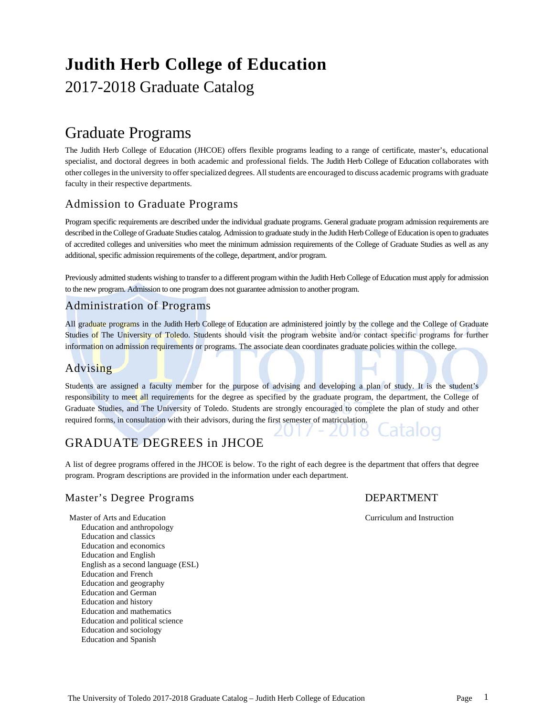# **Judith Herb College of Education**

## 2017-2018 Graduate Catalog

## Graduate Programs

The Judith Herb College of Education (JHCOE) offers flexible programs leading to a range of certificate, master's, educational specialist, and doctoral degrees in both academic and professional fields. The Judith Herb College of Education collaborates with other colleges in the university to offer specialized degrees. All students are encouraged to discuss academic programs with graduate faculty in their respective departments.

## Admission to Graduate Programs

Program specific requirements are described under the individual graduate programs. General graduate program admission requirements are described in the College of Graduate Studies catalog. Admission to graduate study in the Judith Herb College of Education is open to graduates of accredited colleges and universities who meet the minimum admission requirements of the College of Graduate Studies as well as any additional, specific admission requirements of the college, department, and/or program.

Previously admitted students wishing to transfer to a different program within the Judith Herb College of Education must apply for admission to the new program. Admission to one program does not guarantee admission to another program.

## Administration of Programs

All graduate programs in the Judith Herb College of Education are administered jointly by the college and the College of Graduate Studies of The University of Toledo. Students should visit the program website and/or contact specific programs for further information on admission requirements or programs. The associate dean coordinates graduate policies within the college.

## Advising

Students are assigned a faculty member for the purpose of advising and developing a plan of study. It is the student's responsibility to meet all requirements for the degree as specified by the graduate program, the department, the College of Graduate Studies, and The University of Toledo. Students are strongly encouraged to complete the plan of study and other required forms, in consultation with their advisors, during the first semester of matriculation. atalog

## GRADUATE DEGREES in JHCOE

A list of degree programs offered in the JHCOE is below. To the right of each degree is the department that offers that degree program. Program descriptions are provided in the information under each department.

## Master's Degree Programs DEPARTMENT

Master of Arts and Education **Curriculum and Instruction** Curriculum and Instruction Education and anthropology Education and classics Education and economics Education and English English as a second language (ESL) Education and French Education and geography Education and German Education and history Education and mathematics Education and political science Education and sociology Education and Spanish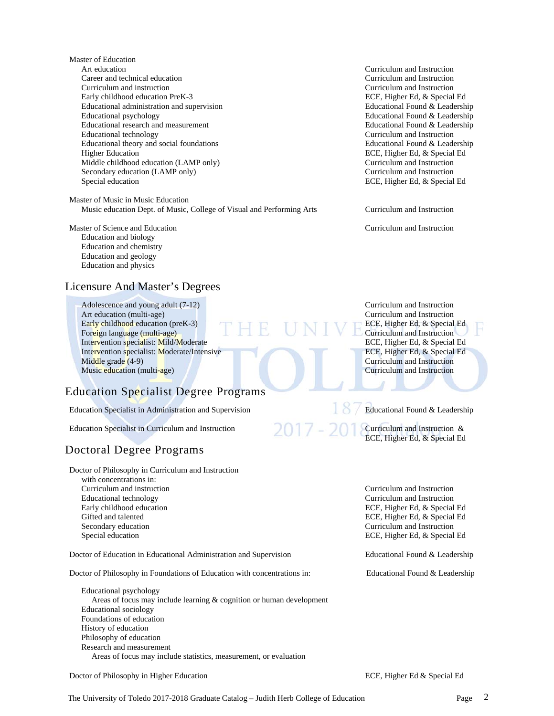Master of Education Art education Curriculum and Instruction Career and technical education Curriculum and Instruction Curriculum and instruction Curriculum and Instruction Early childhood education PreK-3 ECE, Higher Ed, & Special Ed Educational administration and supervision Educational Found & Leadership Educational psychology Educational Found & Leadership Educational research and measurement Educational Found & Leadership Educational technology Curriculum and Instruction Educational theory and social foundations Educational Found & Leadership Higher Education **ECE, Higher Ed, & Special Ed** Middle childhood education (LAMP only) Curriculum and Instruction Secondary education (LAMP only) Curriculum and Instruction Special education ECE, Higher Ed, & Special Ed

Master of Music in Music Education Music education Dept. of Music, College of Visual and Performing Arts Curriculum and Instruction

Master of Science and Education Curriculum and Instruction Education and biology Education and chemistry Education and geology Education and physics

## Licensure And Master's Degrees

Adolescence and young adult (7-12) Curriculum and Instruction Art education (multi-age) **Curriculum and Instruction** Curriculum and Instruction Early childhood education (preK-3) ECE, Higher Ed, & Special Ed Foreign language (multi-age)<br>
Intervention specialist: Mild/Moderate<br>
ECE, Higher Ed, & Special Ed Intervention specialist: Mild/Moderate Intervention specialist: Moderate/Intensive ECE, Higher Ed, & Special Ed Middle grade (4-9) **Curriculum and Instruction** Music education (multi-age) **Curriculum and Instruction** Curriculum and Instruction

## Education Specialist Degree Programs

Education Specialist in Administration and Supervision Education Educational Found & Leadership

Education Specialist in Curriculum and Instruction Curriculum and Instruction &

## Doctoral Degree Programs

Doctor of Philosophy in Curriculum and Instruction with concentrations in: Curriculum and instruction Curriculum and Instruction Educational technology Curriculum and Instruction Early childhood education ECE, Higher Ed, & Special Ed Gifted and talented ECE, Higher Ed, & Special Ed Secondary education Curriculum and Instruction

Doctor of Education in Educational Administration and Supervision Educational Found & Leadership

Doctor of Philosophy in Foundations of Education with concentrations in: Educational Found & Leadership

 Educational psychology Areas of focus may include learning & cognition or human development Educational sociology Foundations of education History of education Philosophy of education Research and measurement Areas of focus may include statistics, measurement, or evaluation

Doctor of Philosophy in Higher Education ECE, Higher Ed & Special Ed

ECE, Higher Ed, & Special Ed

Special education **ECE, Higher Ed, & Special Ed**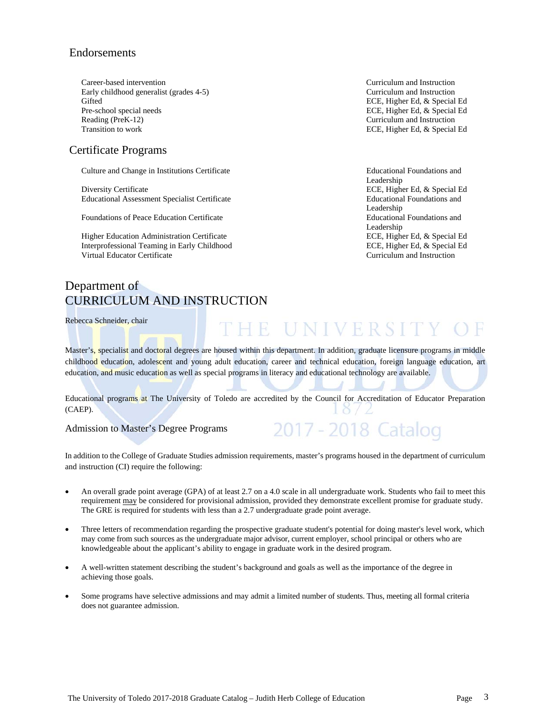## Endorsements

 Career-based intervention Curriculum and Instruction Early childhood generalist (grades 4-5) Curriculum and Instruction Gifted ECE, Higher Ed, & Special Ed Pre-school special needs ECE, Higher Ed, & Special Ed Reading (PreK-12) Curriculum and Instruction

## Certificate Programs

Culture and Change in Institutions Certificate Educational Foundations and

Diversity Certificate **EXE, Higher Ed, & Special Ed** Educational Assessment Specialist Certificate Educational Foundations and

Foundations of Peace Education Certificate Educational Foundations and

 Higher Education Administration Certificate ECE, Higher Ed, & Special Ed Interprofessional Teaming in Early Childhood ECE, Higher Ed, & Special Ed Virtual Educator Certificate Curriculum and Instruction

## Department of CURRICULUM AND INSTRUCTION

Rebecca Schneider, chair

# THE UNIVERSITY OF

2017 - 2018 Catalog

Master's, specialist and doctoral degrees are housed within this department. In addition, graduate licensure programs in middle childhood education, adolescent and young adult education, career and technical education, foreign language education, art education, and music education as well as special programs in literacy and educational technology are available.

Educational programs at The University of Toledo are accredited by the Council for Accreditation of Educator Preparation (CAEP).

Admission to Master's Degree Programs

In addition to the College of Graduate Studies admission requirements, master's programs housed in the department of curriculum and instruction (CI) require the following:

- An overall grade point average (GPA) of at least 2.7 on a 4.0 scale in all undergraduate work. Students who fail to meet this requirement may be considered for provisional admission, provided they demonstrate excellent promise for graduate study. The GRE is required for students with less than a 2.7 undergraduate grade point average.
- Three letters of recommendation regarding the prospective graduate student's potential for doing master's level work, which may come from such sources as the undergraduate major advisor, current employer, school principal or others who are knowledgeable about the applicant's ability to engage in graduate work in the desired program.
- A well-written statement describing the student's background and goals as well as the importance of the degree in achieving those goals.
- Some programs have selective admissions and may admit a limited number of students. Thus, meeting all formal criteria does not guarantee admission.

Transition to work **ECE, Higher Ed, & Special Ed** 

Leadership Leadership Leadership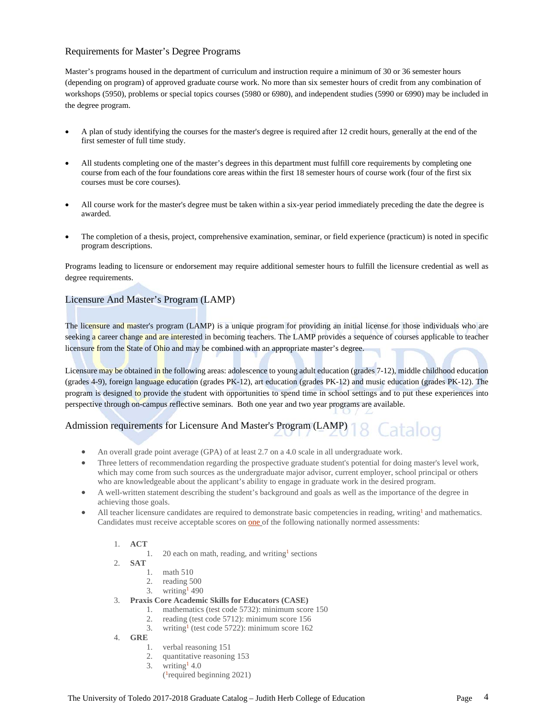## Requirements for Master's Degree Programs

Master's programs housed in the department of curriculum and instruction require a minimum of 30 or 36 semester hours (depending on program) of approved graduate course work. No more than six semester hours of credit from any combination of workshops (5950), problems or special topics courses (5980 or 6980), and independent studies (5990 or 6990) may be included in the degree program.

- A plan of study identifying the courses for the master's degree is required after 12 credit hours, generally at the end of the first semester of full time study.
- All students completing one of the master's degrees in this department must fulfill core requirements by completing one course from each of the four foundations core areas within the first 18 semester hours of course work (four of the first six courses must be core courses).
- All course work for the master's degree must be taken within a six-year period immediately preceding the date the degree is awarded.
- The completion of a thesis, project, comprehensive examination, seminar, or field experience (practicum) is noted in specific program descriptions.

Programs leading to licensure or endorsement may require additional semester hours to fulfill the licensure credential as well as degree requirements.

## Licensure And Master's Program (LAMP)

The licensure and master's program (LAMP) is a unique program for providing an initial license for those individuals who are seeking a career change and are interested in becoming teachers. The LAMP provides a sequence of courses applicable to teacher licensure from the State of Ohio and may be combined with an appropriate master's degree.

Licensure may be obtained in the following areas: adolescence to young adult education (grades 7-12), middle childhood education (grades 4-9), foreign language education (grades PK-12), art education (grades PK-12) and music education (grades PK-12). The program is designed to provide the student with opportunities to spend time in school settings and to put these experiences into perspective through on-campus reflective seminars. Both one year and two year programs are available.

## Admission requirements for Licensure And Master's Program (LAMP)

- An overall grade point average (GPA) of at least 2.7 on a 4.0 scale in all undergraduate work.
- Three letters of recommendation regarding the prospective graduate student's potential for doing master's level work, which may come from such sources as the undergraduate major advisor, current employer, school principal or others who are knowledgeable about the applicant's ability to engage in graduate work in the desired program.
- A well-written statement describing the student's background and goals as well as the importance of the degree in achieving those goals.
- All teacher licensure candidates are required to demonstrate basic competencies in reading, writing<sup>1</sup> and mathematics. Candidates must receive acceptable scores on one of the following nationally normed assessments:
	- 1. **ACT**
		- 1. 20 each on math, reading, and writing<sup>1</sup> sections
	- 2. **SAT**
		- 1. math 510
		- 2. reading 500
		- 3. writing<sup>1</sup> 490
	- 3. **Praxis Core Academic Skills for Educators (CASE)**
		- 1. mathematics (test code 5732): minimum score 150
		- 2. reading (test code 5712): minimum score 156
		- 3. writing1 (test code 5722): minimum score 162
	- 4. **GRE**
		- 1. verbal reasoning 151
		- 2. quantitative reasoning 153
		- 3. writing  $4.0$ 
			- ( 1required beginning 2021)

Latalog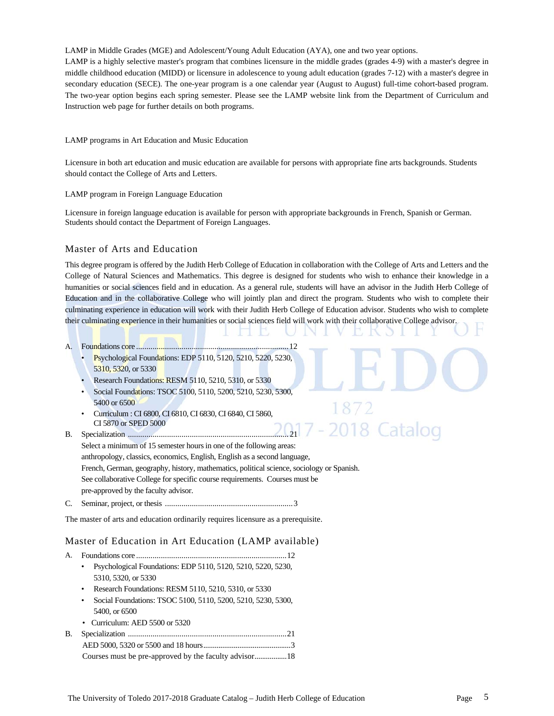LAMP in Middle Grades (MGE) and Adolescent/Young Adult Education (AYA), one and two year options. LAMP is a highly selective master's program that combines licensure in the middle grades (grades 4-9) with a master's degree in middle childhood education (MIDD) or licensure in adolescence to young adult education (grades 7-12) with a master's degree in secondary education (SECE). The one-year program is a one calendar year (August to August) full-time cohort-based program. The two-year option begins each spring semester. Please see the LAMP website link from the Department of Curriculum and Instruction web page for further details on both programs.

#### LAMP programs in Art Education and Music Education

Licensure in both art education and music education are available for persons with appropriate fine arts backgrounds. Students should contact the College of Arts and Letters.

#### LAMP program in Foreign Language Education

Licensure in foreign language education is available for person with appropriate backgrounds in French, Spanish or German. Students should contact the Department of Foreign Languages.

## Master of Arts and Education

This degree program is offered by the Judith Herb College of Education in collaboration with the College of Arts and Letters and the College of Natural Sciences and Mathematics. This degree is designed for students who wish to enhance their knowledge in a humanities or social sciences field and in education. As a general rule, students will have an advisor in the Judith Herb College of Education and in the collaborative College who will jointly plan and direct the program. Students who wish to complete their culminating experience in education will work with their Judith Herb College of Education advisor. Students who wish to complete their culminating experience in their humanities or social sciences field will work with their collaborative College advisor.

## A. Foundations core .......................................................................... 12

- Psychological Foundations: EDP 5110, 5120, 5210, 5220, 5230, 5310, 5320, or 5330
- Research Foundations: RESM 5110, 5210, 5310, or 5330
- Social Foundations: TSOC 5100, 5110, 5200, 5210, 5230, 5300, 5400 or 6500
- Curriculum : CI 6800, CI 6810, CI 6830, CI 6840, CI 5860, CI 5870 or SPED 5000
- 2018 Catalog B. Specialization .............................................................................. 21 Select a minimum of 15 semester hours in one of the following areas: anthropology, classics, economics, English, English as a second language, French, German, geography, history, mathematics, political science, sociology or Spanish. See collaborative College for specific course requirements. Courses must be pre-approved by the faculty advisor.
- C. Seminar, project, or thesis .............................................................. 3

The master of arts and education ordinarily requires licensure as a prerequisite.

## Master of Education in Art Education (LAMP available)

- A. Foundations core ......................................................................... 12
	- Psychological Foundations: EDP 5110, 5120, 5210, 5220, 5230, 5310, 5320, or 5330
	- Research Foundations: RESM 5110, 5210, 5310, or 5330
	- Social Foundations: TSOC 5100, 5110, 5200, 5210, 5230, 5300, 5400, or 6500
	- Curriculum: AED 5500 or 5320
- B. Specialization ............................................................................. 21 AED 5000, 5320 or 5500 and 18 hours .............................................. 3 Courses must be pre-approved by the faculty advisor ................. 18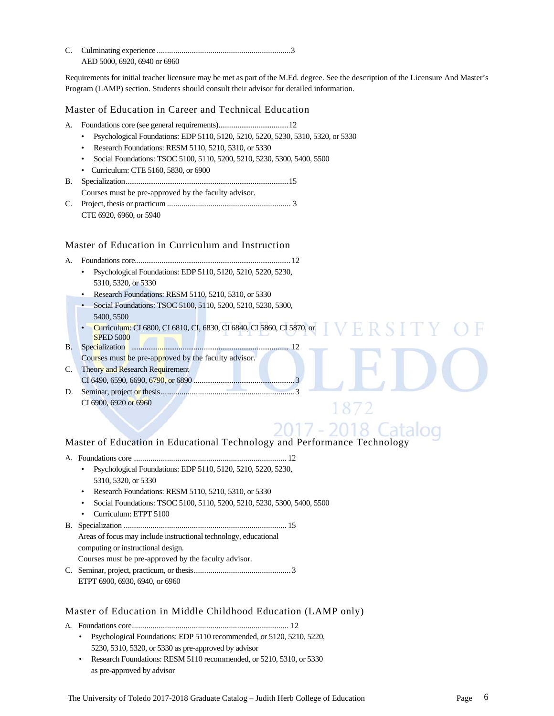| AED 5000, 6920, 6940 or 6960 |  |
|------------------------------|--|

Requirements for initial teacher licensure may be met as part of the M.Ed. degree. See the description of the Licensure And Master's Program (LAMP) section. Students should consult their advisor for detailed information.

## Master of Education in Career and Technical Education

- A. Foundations core (see general requirements) ..................................... 12
	- Psychological Foundations: EDP 5110, 5120, 5210, 5220, 5230, 5310, 5320, or 5330
	- Research Foundations: RESM 5110, 5210, 5310, or 5330
	- Social Foundations: TSOC 5100, 5110, 5200, 5210, 5230, 5300, 5400, 5500
	- Curriculum: CTE 5160, 5830, or 6900
- B. Specialization ...................................................................................... 15 Courses must be pre-approved by the faculty advisor.
- C. Project, thesis or practicum ............................................................ 3 CTE 6920, 6960, or 5940

## Master of Education in Curriculum and Instruction

- A. Foundations core .................................................................................. 12
	- Psychological Foundations: EDP 5110, 5120, 5210, 5220, 5230, 5310, 5320, or 5330
	- Research Foundations: RESM 5110, 5210, 5310, or 5330
	- Social Foundations: TSOC 5100, 5110, 5200, 5210, 5230, 5300, 5400, 5500
	- Curriculum: CI 6800, CI 6810, CI, 6830, CI 6840, CI 5860, CI 5870, or **VERSIT SPED 5000**
- B. Specialization ................................................................................... 12
- Courses must be pre-approved by the faculty advisor.
- C. Theory and Research Requirement CI 6490, 6590, 6690, 6790, or 6890 ..................................................... 3
- D. Seminar, project or thesis ................................................................. 3 CI 6900, 6920 or 6960



1872

## Master of Education in Educational Technology and Performance Technology

- A. Foundations core .......................................................................... 12
	- Psychological Foundations: EDP 5110, 5120, 5210, 5220, 5230, 5310, 5320, or 5330
	- Research Foundations: RESM 5110, 5210, 5310, or 5330
	- Social Foundations: TSOC 5100, 5110, 5200, 5210, 5230, 5300, 5400, 5500
	- Curriculum: ETPT 5100
- B. Specialization ............................................................................... 15 Areas of focus may include instructional technology, educational computing or instructional design. Courses must be pre-approved by the faculty advisor.
- C. Seminar, project, practicum, or thesis ............................................... 3 ETPT 6900, 6930, 6940, or 6960

## Master of Education in Middle Childhood Education (LAMP only)

A. Foundations core ............................................................................ 12

- Psychological Foundations: EDP 5110 recommended, or 5120, 5210, 5220, 5230, 5310, 5320, or 5330 as pre-approved by advisor
- Research Foundations: RESM 5110 recommended, or 5210, 5310, or 5330 as pre-approved by advisor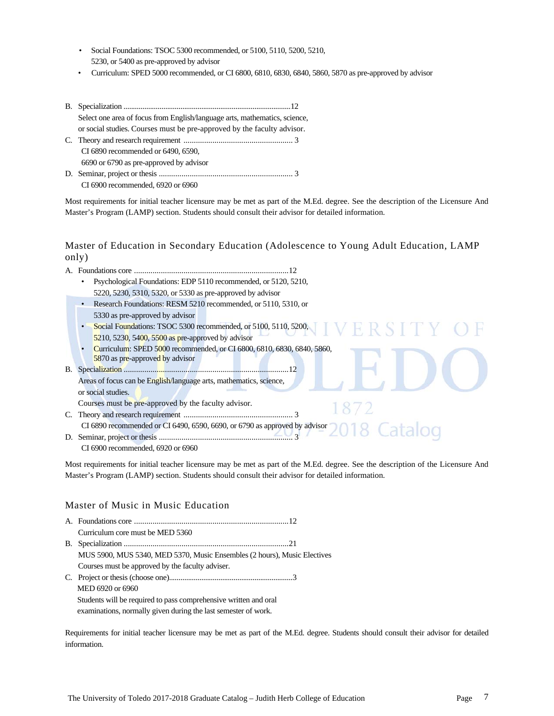- Social Foundations: TSOC 5300 recommended, or 5100, 5110, 5200, 5210, 5230, or 5400 as pre-approved by advisor
- Curriculum: SPED 5000 recommended, or CI 6800, 6810, 6830, 6840, 5860, 5870 as pre-approved by advisor
- B. Specialization ........................................................................................ 12 Select one area of focus from English/language arts, mathematics, science, or social studies. Courses must be pre-approved by the faculty advisor. C. Theory and research requirement ..................................................... 3 CI 6890 recommended or 6490, 6590, 6690 or 6790 as pre-approved by advisor

D. Seminar, project or thesis ................................................................. 3 CI 6900 recommended, 6920 or 6960

Most requirements for initial teacher licensure may be met as part of the M.Ed. degree. See the description of the Licensure And Master's Program (LAMP) section. Students should consult their advisor for detailed information.

## Master of Education in Secondary Education (Adolescence to Young Adult Education, LAMP only)

|                                                                | Psychological Foundations: EDP 5110 recommended, or 5120, 5210,                           |  |  |
|----------------------------------------------------------------|-------------------------------------------------------------------------------------------|--|--|
|                                                                | 5220, 5230, 5310, 5320, or 5330 as pre-approved by advisor                                |  |  |
| Research Foundations: RESM 5210 recommended, or 5110, 5310, or |                                                                                           |  |  |
|                                                                | 5330 as pre-approved by advisor                                                           |  |  |
|                                                                | Social Foundations: TSOC 5300 recommended, or 5100, 5110, 5200,                           |  |  |
|                                                                | $5210$ , 5230, 5400, 5500 as pre-approved by advisor                                      |  |  |
|                                                                | Curriculum: SPED 5000 recommended, or CI 6800, 6810, 6830, 6840, 5860,                    |  |  |
|                                                                | 5870 as pre-approved by advisor                                                           |  |  |
|                                                                |                                                                                           |  |  |
|                                                                | Areas of focus can be English/language arts, mathematics, science,                        |  |  |
|                                                                | or social studies.                                                                        |  |  |
|                                                                | Courses must be pre-approved by the faculty advisor.                                      |  |  |
|                                                                |                                                                                           |  |  |
|                                                                | CI 6890 recommended or CI 6490, 6590, 6690, or 6790 as approved by advisor $2018$ Catalog |  |  |
|                                                                |                                                                                           |  |  |
|                                                                | CI 6900 recommended, 6920 or 6960                                                         |  |  |

Most requirements for initial teacher licensure may be met as part of the M.Ed. degree. See the description of the Licensure And Master's Program (LAMP) section. Students should consult their advisor for detailed information.

## Master of Music in Music Education

| Curriculum core must be MED 5360                                         |
|--------------------------------------------------------------------------|
|                                                                          |
| MUS 5900, MUS 5340, MED 5370, Music Ensembles (2 hours), Music Electives |
| Courses must be approved by the faculty adviser.                         |
|                                                                          |
| MED 6920 or 6960                                                         |
| Students will be required to pass comprehensive written and oral         |
| examinations, normally given during the last semester of work.           |

Requirements for initial teacher licensure may be met as part of the M.Ed. degree. Students should consult their advisor for detailed information.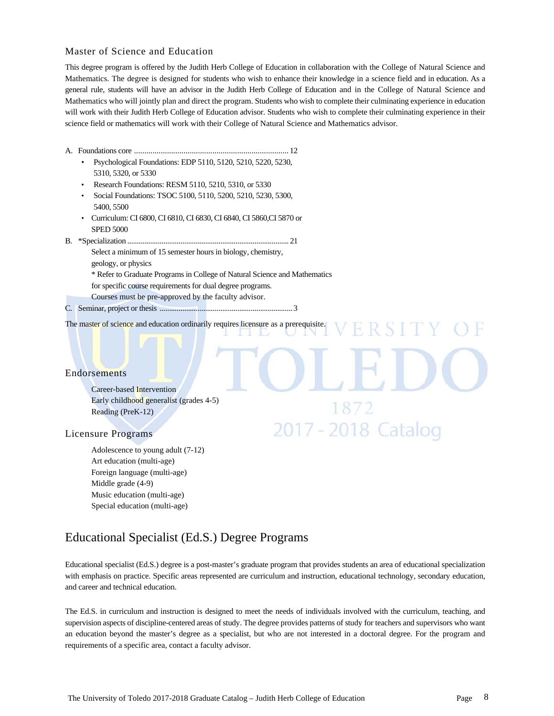## Master of Science and Education

This degree program is offered by the Judith Herb College of Education in collaboration with the College of Natural Science and Mathematics. The degree is designed for students who wish to enhance their knowledge in a science field and in education. As a general rule, students will have an advisor in the Judith Herb College of Education and in the College of Natural Science and Mathematics who will jointly plan and direct the program. Students who wish to complete their culminating experience in education will work with their Judith Herb College of Education advisor. Students who wish to complete their culminating experience in their science field or mathematics will work with their College of Natural Science and Mathematics advisor.

- A. Foundations core ........................................................................... 12
	- Psychological Foundations: EDP 5110, 5120, 5210, 5220, 5230, 5310, 5320, or 5330
	- Research Foundations: RESM 5110, 5210, 5310, or 5330
	- Social Foundations: TSOC 5100, 5110, 5200, 5210, 5230, 5300, 5400, 5500
	- Curriculum: CI 6800, CI 6810, CI 6830, CI 6840, CI 5860,CI 5870 or SPED 5000
- B. \*Specialization ..................................................................................... 21
	- Select a minimum of 15 semester hours in biology, chemistry, geology, or physics \* Refer to Graduate Programs in College of Natural Science and Mathematics for specific course requirements for dual degree programs. Courses must be pre-approved by the faculty advisor.
- C. Seminar, project or thesis ...................................................................... 3

The master of science and education ordinarily requires licensure as a prerequisite. Ħ R S I

#### **Endorsements**

 Career-based Intervention Early childhood generalist (grades 4-5) Reading (PreK-12)

#### Licensure Programs

Adolescence to young adult (7-12) Art education (multi-age) Foreign language (multi-age) Middle grade (4-9) Music education (multi-age) Special education (multi-age)

## Educational Specialist (Ed.S.) Degree Programs

Educational specialist (Ed.S.) degree is a post-master's graduate program that provides students an area of educational specialization with emphasis on practice. Specific areas represented are curriculum and instruction, educational technology, secondary education, and career and technical education.

2017 - 2018 Catalog

The Ed.S. in curriculum and instruction is designed to meet the needs of individuals involved with the curriculum, teaching, and supervision aspects of discipline-centered areas of study. The degree provides patterns of study for teachers and supervisors who want an education beyond the master's degree as a specialist, but who are not interested in a doctoral degree. For the program and requirements of a specific area, contact a faculty advisor.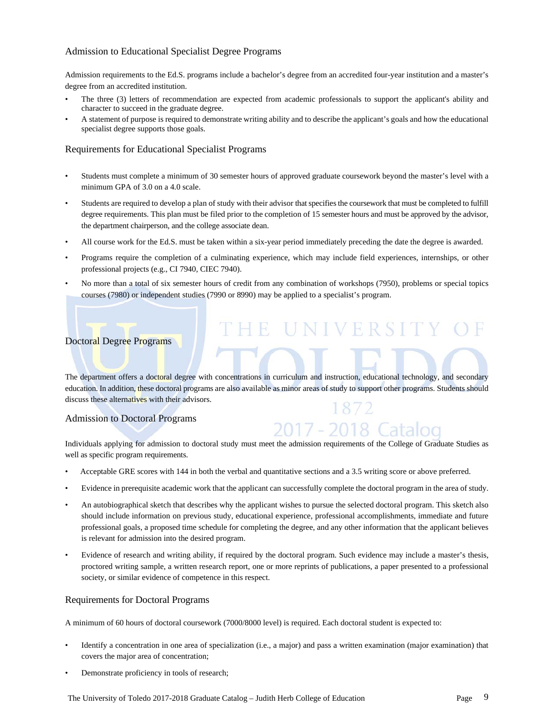## Admission to Educational Specialist Degree Programs

Admission requirements to the Ed.S. programs include a bachelor's degree from an accredited four-year institution and a master's degree from an accredited institution.

- The three (3) letters of recommendation are expected from academic professionals to support the applicant's ability and character to succeed in the graduate degree.
- A statement of purpose is required to demonstrate writing ability and to describe the applicant's goals and how the educational specialist degree supports those goals.

## Requirements for Educational Specialist Programs

- Students must complete a minimum of 30 semester hours of approved graduate coursework beyond the master's level with a minimum GPA of 3.0 on a 4.0 scale.
- Students are required to develop a plan of study with their advisor that specifies the coursework that must be completed to fulfill degree requirements. This plan must be filed prior to the completion of 15 semester hours and must be approved by the advisor, the department chairperson, and the college associate dean.
- All course work for the Ed.S. must be taken within a six-year period immediately preceding the date the degree is awarded.
- Programs require the completion of a culminating experience, which may include field experiences, internships, or other professional projects (e.g., CI 7940, CIEC 7940).
- No more than a total of six semester hours of credit from any combination of workshops (7950), problems or special topics courses (7980) or independent studies (7990 or 8990) may be applied to a specialist's program.

E UNIVERSITY O

2017 - 2018 Catalog

## Doctoral Degree Programs

The department offers a doctoral degree with concentrations in curriculum and instruction, educational technology, and secondary education. In addition, these doctoral programs are also available as minor areas of study to support other programs. Students should discuss these alternatives with their advisors.

## Admission to Doctoral Programs

## Individuals applying for admission to doctoral study must meet the admission requirements of the College of Graduate Studies as well as specific program requirements.

- Acceptable GRE scores with 144 in both the verbal and quantitative sections and a 3.5 writing score or above preferred.
- Evidence in prerequisite academic work that the applicant can successfully complete the doctoral program in the area of study.
- An autobiographical sketch that describes why the applicant wishes to pursue the selected doctoral program. This sketch also should include information on previous study, educational experience, professional accomplishments, immediate and future professional goals, a proposed time schedule for completing the degree, and any other information that the applicant believes is relevant for admission into the desired program.
- Evidence of research and writing ability, if required by the doctoral program. Such evidence may include a master's thesis, proctored writing sample, a written research report, one or more reprints of publications, a paper presented to a professional society, or similar evidence of competence in this respect.

## Requirements for Doctoral Programs

A minimum of 60 hours of doctoral coursework (7000/8000 level) is required. Each doctoral student is expected to:

- Identify a concentration in one area of specialization (i.e., a major) and pass a written examination (major examination) that covers the major area of concentration;
- Demonstrate proficiency in tools of research;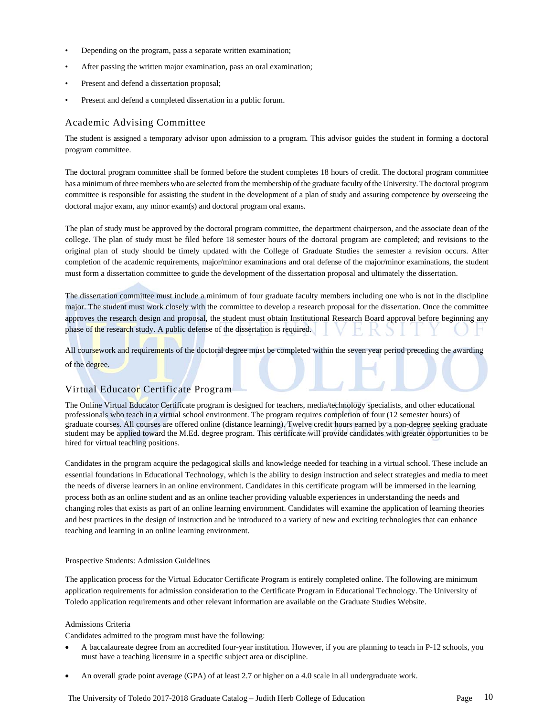- Depending on the program, pass a separate written examination;
- After passing the written major examination, pass an oral examination;
- Present and defend a dissertation proposal;
- Present and defend a completed dissertation in a public forum.

## Academic Advising Committee

The student is assigned a temporary advisor upon admission to a program. This advisor guides the student in forming a doctoral program committee.

The doctoral program committee shall be formed before the student completes 18 hours of credit. The doctoral program committee has a minimum of three members who are selected from the membership of the graduate faculty of the University. The doctoral program committee is responsible for assisting the student in the development of a plan of study and assuring competence by overseeing the doctoral major exam, any minor exam(s) and doctoral program oral exams.

The plan of study must be approved by the doctoral program committee, the department chairperson, and the associate dean of the college. The plan of study must be filed before 18 semester hours of the doctoral program are completed; and revisions to the original plan of study should be timely updated with the College of Graduate Studies the semester a revision occurs. After completion of the academic requirements, major/minor examinations and oral defense of the major/minor examinations, the student must form a dissertation committee to guide the development of the dissertation proposal and ultimately the dissertation.

The dissertation committee must include a minimum of four graduate faculty members including one who is not in the discipline major. The student must work closely with the committee to develop a research proposal for the dissertation. Once the committee approves the research design and proposal, the student must obtain Institutional Research Board approval before beginning any phase of the research study. A public defense of the dissertation is required.

All coursework and requirements of the doctoral degree must be completed within the seven year period preceding the awarding of the degree.

## Virtual Educator Certificate Program

The Online Virtual Educator Certificate program is designed for teachers, media/technology specialists, and other educational professionals who teach in a virtual school environment. The program requires completion of four (12 semester hours) of graduate courses. All courses are offered online (distance learning). Twelve credit hours earned by a non-degree seeking graduate student may be applied toward the M.Ed. degree program. This certificate will provide candidates with greater opportunities to be hired for virtual teaching positions.

Candidates in the program acquire the pedagogical skills and knowledge needed for teaching in a virtual school. These include an essential foundations in Educational Technology, which is the ability to design instruction and select strategies and media to meet the needs of diverse learners in an online environment. Candidates in this certificate program will be immersed in the learning process both as an online student and as an online teacher providing valuable experiences in understanding the needs and changing roles that exists as part of an online learning environment. Candidates will examine the application of learning theories and best practices in the design of instruction and be introduced to a variety of new and exciting technologies that can enhance teaching and learning in an online learning environment.

#### Prospective Students: Admission Guidelines

The application process for the Virtual Educator Certificate Program is entirely completed online. The following are minimum application requirements for admission consideration to the Certificate Program in Educational Technology. The University of Toledo application requirements and other relevant information are available on the Graduate Studies Website.

#### Admissions Criteria

Candidates admitted to the program must have the following:

- A baccalaureate degree from an accredited four-year institution. However, if you are planning to teach in P-12 schools, you must have a teaching licensure in a specific subject area or discipline.
- An overall grade point average (GPA) of at least 2.7 or higher on a 4.0 scale in all undergraduate work.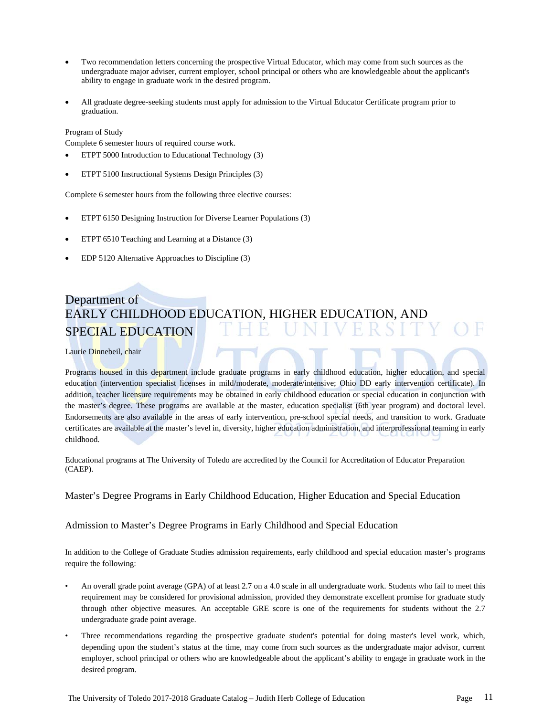- Two recommendation letters concerning the prospective Virtual Educator, which may come from such sources as the undergraduate major adviser, current employer, school principal or others who are knowledgeable about the applicant's ability to engage in graduate work in the desired program.
- All graduate degree-seeking students must apply for admission to the Virtual Educator Certificate program prior to graduation.

#### Program of Study

Complete 6 semester hours of required course work.

- ETPT 5000 Introduction to Educational Technology (3)
- ETPT 5100 Instructional Systems Design Principles (3)

Complete 6 semester hours from the following three elective courses:

- ETPT 6150 Designing Instruction for Diverse Learner Populations (3)
- ETPT 6510 Teaching and Learning at a Distance (3)
- EDP 5120 Alternative Approaches to Discipline (3)

## Department of EARLY CHILDHOOD EDUCATION, HIGHER EDUCATION, AND SPECIAL EDUCATION

Laurie Dinnebeil, chair

Programs housed in this department include graduate programs in early childhood education, higher education, and special education (intervention specialist licenses in mild/moderate, moderate/intensive; Ohio DD early intervention certificate). In addition, teacher licensure requirements may be obtained in early childhood education or special education in conjunction with the master's degree. These programs are available at the master, education specialist (6th year program) and doctoral level. Endorsements are also available in the areas of early intervention, pre-school special needs, and transition to work. Graduate certificates are available at the master's level in, diversity, higher education administration, and interprofessional teaming in early childhood.

Educational programs at The University of Toledo are accredited by the Council for Accreditation of Educator Preparation (CAEP).

## Master's Degree Programs in Early Childhood Education, Higher Education and Special Education

## Admission to Master's Degree Programs in Early Childhood and Special Education

In addition to the College of Graduate Studies admission requirements, early childhood and special education master's programs require the following:

- An overall grade point average (GPA) of at least 2.7 on a 4.0 scale in all undergraduate work. Students who fail to meet this requirement may be considered for provisional admission, provided they demonstrate excellent promise for graduate study through other objective measures. An acceptable GRE score is one of the requirements for students without the 2.7 undergraduate grade point average.
- Three recommendations regarding the prospective graduate student's potential for doing master's level work, which, depending upon the student's status at the time, may come from such sources as the undergraduate major advisor, current employer, school principal or others who are knowledgeable about the applicant's ability to engage in graduate work in the desired program.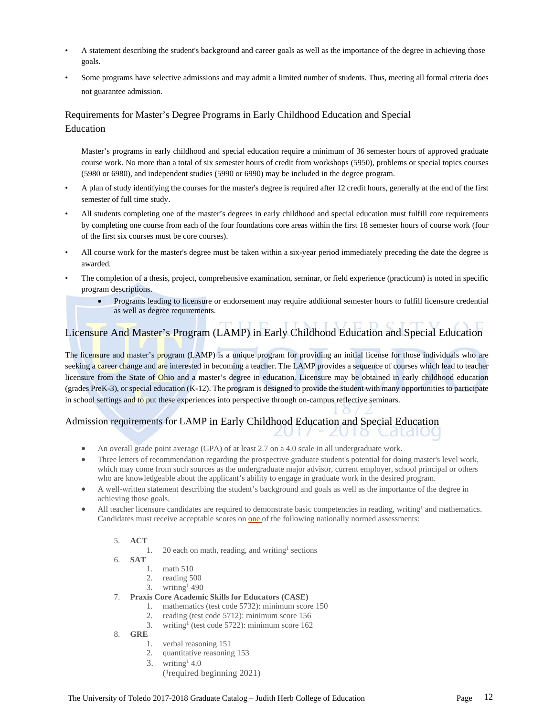- A statement describing the student's background and career goals as well as the importance of the degree in achieving those goals.
- Some programs have selective admissions and may admit a limited number of students. Thus, meeting all formal criteria does not guarantee admission.

## Requirements for Master's Degree Programs in Early Childhood Education and Special Education

 Master's programs in early childhood and special education require a minimum of 36 semester hours of approved graduate course work. No more than a total of six semester hours of credit from workshops (5950), problems or special topics courses (5980 or 6980), and independent studies (5990 or 6990) may be included in the degree program.

- A plan of study identifying the courses for the master's degree is required after 12 credit hours, generally at the end of the first semester of full time study.
- All students completing one of the master's degrees in early childhood and special education must fulfill core requirements by completing one course from each of the four foundations core areas within the first 18 semester hours of course work (four of the first six courses must be core courses).
- All course work for the master's degree must be taken within a six-year period immediately preceding the date the degree is awarded.
- The completion of a thesis, project, comprehensive examination, seminar, or field experience (practicum) is noted in specific program descriptions.
	- Programs leading to licensure or endorsement may require additional semester hours to fulfill licensure credential as well as degree requirements.

## Licensure And Master's Program (LAMP) in Early Childhood Education and Special Education

The licensure and master's program (LAMP) is a unique program for providing an initial license for those individuals who are seeking a career change and are interested in becoming a teacher. The LAMP provides a sequence of courses which lead to teacher licensure from the State of Ohio and a master's degree in education. Licensure may be obtained in early childhood education (grades PreK-3), or special education (K-12). The program is designed to provide the student with many opportunities to participate in school settings and to put these experiences into perspective through on-campus reflective seminars.

#### Admission requirements for LAMP in Early Childhood Education and Special Education CaldIOO  $\circ$

- An overall grade point average (GPA) of at least 2.7 on a 4.0 scale in all undergraduate work.
- Three letters of recommendation regarding the prospective graduate student's potential for doing master's level work, which may come from such sources as the undergraduate major advisor, current employer, school principal or others who are knowledgeable about the applicant's ability to engage in graduate work in the desired program.
- A well-written statement describing the student's background and goals as well as the importance of the degree in achieving those goals.
- All teacher licensure candidates are required to demonstrate basic competencies in reading, writing<sup>1</sup> and mathematics. Candidates must receive acceptable scores on one of the following nationally normed assessments:
	- 5. **ACT**
		- 1. 20 each on math, reading, and writing<sup>1</sup> sections
	- 6. **SAT**
		- 1. math 510
		- 2. reading 500
		- 3. writing<sup>1</sup> 490
	- 7. **Praxis Core Academic Skills for Educators (CASE)**
		- 1. mathematics (test code 5732): minimum score 150
		- 2. reading (test code 5712): minimum score 156
		- 3. writing<sup>1</sup> (test code 5722): minimum score  $162$
	- 8. **GRE**
		- 1. verbal reasoning 151
		- 2. quantitative reasoning 153
		- 3. writing  $4.0$ 
			- (1required beginning 2021)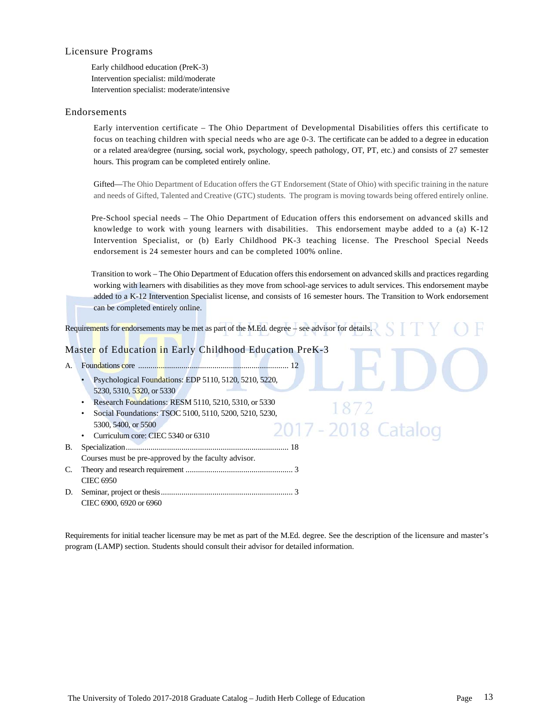### Licensure Programs

Early childhood education (PreK-3) Intervention specialist: mild/moderate Intervention specialist: moderate/intensive

### Endorsements

Early intervention certificate – The Ohio Department of Developmental Disabilities offers this certificate to focus on teaching children with special needs who are age 0-3. The certificate can be added to a degree in education or a related area/degree (nursing, social work, psychology, speech pathology, OT, PT, etc.) and consists of 27 semester hours. This program can be completed entirely online.

Gifted—The Ohio Department of Education offers the GT Endorsement (State of Ohio) with specific training in the nature and needs of Gifted, Talented and Creative (GTC) students. The program is moving towards being offered entirely online.

 Pre-School special needs – The Ohio Department of Education offers this endorsement on advanced skills and knowledge to work with young learners with disabilities. This endorsement maybe added to a (a) K-12 Intervention Specialist, or (b) Early Childhood PK-3 teaching license. The Preschool Special Needs endorsement is 24 semester hours and can be completed 100% online.

 Transition to work – The Ohio Department of Education offers this endorsement on advanced skills and practices regarding working with learners with disabilities as they move from school-age services to adult services. This endorsement maybe added to a K-12 Intervention Specialist license, and consists of 16 semester hours. The Transition to Work endorsement can be completed entirely online.

2018 Catalog

Requirements for endorsements may be met as part of the M.Ed. degree – see advisor for details.

## Master of Education in Early Childhood Education PreK-3

- A. Foundations core ......................................................................... 12
	- Psychological Foundations: EDP 5110, 5120, 5210, 5220, 5230, 5310, 5320, or 5330
	- Research Foundations: RESM 5110, 5210, 5310, or 5330
	- Social Foundations: TSOC 5100, 5110, 5200, 5210, 5230, 5300, 5400, or 5500
	- Curriculum core: CIEC 5340 or 6310
- B. Specialization ............................................................................... 18 Courses must be pre-approved by the faculty advisor. C. Theory and research requirement .................................................... 3
- CIEC 6950 D. Seminar, project or thesis ................................................................ 3
- CIEC 6900, 6920 or 6960

Requirements for initial teacher licensure may be met as part of the M.Ed. degree. See the description of the licensure and master's program (LAMP) section. Students should consult their advisor for detailed information.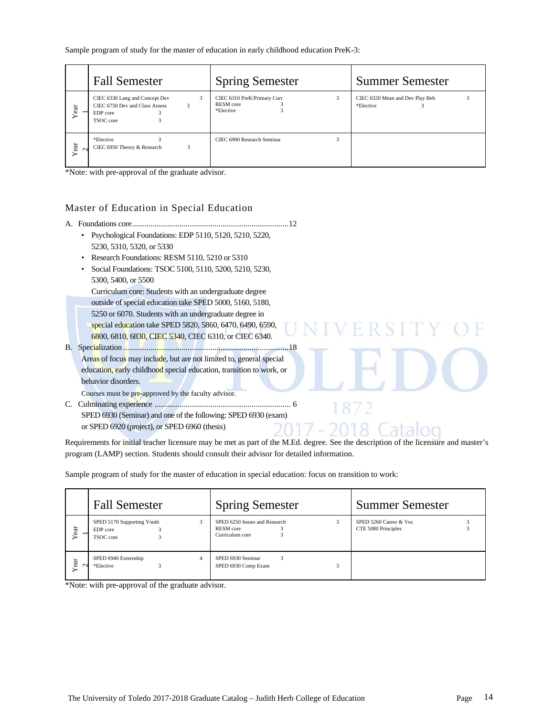Sample program of study for the master of education in early childhood education PreK-3:

|                | <b>Fall Semester</b>                                                                                | <b>Spring Semester</b>                                | <b>Summer Semester</b>                       |
|----------------|-----------------------------------------------------------------------------------------------------|-------------------------------------------------------|----------------------------------------------|
| ಕ<br>Š         | CIEC 6330 Lang and Concept Dev<br>3<br>CIEC 6750 Dev and Class Assess<br>3<br>EDP core<br>TSOC core | CIEC 6310 PreK/Primary Curr<br>RESM core<br>*Elective | CIEC 6320 Mean and Dev Play Beh<br>*Elective |
| Year<br>$\sim$ | *Elective<br>CIEC 6950 Theory & Research<br>3                                                       | CIEC 6900 Research Seminar                            |                                              |

\*Note: with pre-approval of the graduate advisor.

## Master of Education in Special Education

- A. Foundations core ............................................................................ 12 • Psychological Foundations: EDP 5110, 5120, 5210, 5220, 5230, 5310, 5320, or 5330
	- Research Foundations: RESM 5110, 5210 or 5310
	- Social Foundations: TSOC 5100, 5110, 5200, 5210, 5230, 5300, 5400, or 5500

 Curriculum core: Students with an undergraduate degree outside of special education take SPED 5000, 5160, 5180, 5250 or 6070. Students with an undergraduate degree in special education take SPED 5820, 5860, 6470, 6490, 6590,

6800, 6810, 6830, CIEC 5340, CIEC 6310, or CIEC 6340.

B. Specialization ................................................................................ 18 Areas of focus may include, but are not limited to, general special education, early childhood special education, transition to work, or behavior disorders.

Courses must be pre-approved by the faculty advisor.

C. Culminating experience .................................................................. 6 SPED 6930 (Seminar) and one of the following: SPED 6930 (exam) or SPED 6920 (project), or SPED 6960 (thesis)

Requirements for initial teacher licensure may be met as part of the M.Ed. degree. See the description of the licensure and master's program (LAMP) section. Students should consult their advisor for detailed information.

FRSI

8.

Sample program of study for the master of education in special education: focus on transition to work:

|         | <b>Fall Semester</b>                                | <b>Spring Semester</b>                                        | <b>Summer Semester</b>                        |
|---------|-----------------------------------------------------|---------------------------------------------------------------|-----------------------------------------------|
| ear     | SPED 5170 Supporting Youth<br>EDP core<br>TSOC core | SPED 6250 Issues and Research<br>RESM core<br>Curriculum core | SPED 5260 Career & Voc<br>CTE 5080 Principles |
| ಕ<br>Šë | SPED 6940 Externship<br>*Elective                   | SPED 6930 Seminar<br>3<br>SPED 6930 Comp Exam                 |                                               |

\*Note: with pre-approval of the graduate advisor.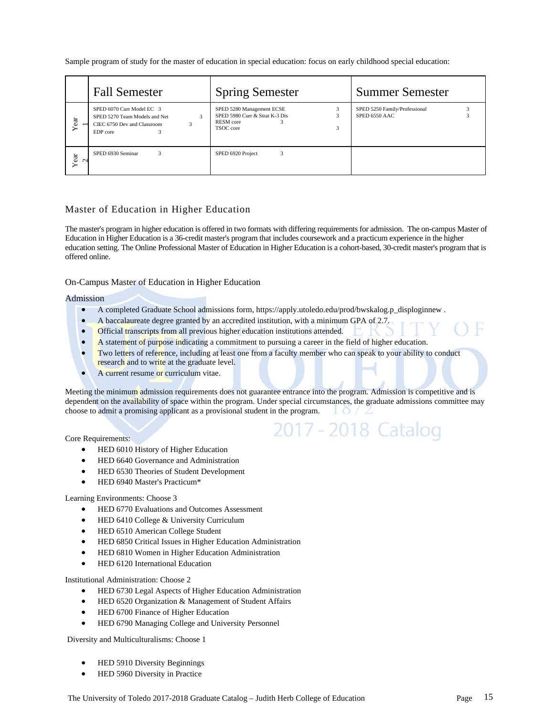Sample program of study for the master of education in special education: focus on early childhood special education:

|                | <b>Fall Semester</b>                                                                                                  | <b>Spring Semester</b>                                                                | <b>Summer Semester</b>                         |
|----------------|-----------------------------------------------------------------------------------------------------------------------|---------------------------------------------------------------------------------------|------------------------------------------------|
| $ext{$         | SPED 6070 Curr Model EC 3<br>$\mathbf{3}$<br>SPED 5270 Team Models and Net<br>CIEC 6750 Dev and Classroom<br>EDP core | SPED 5280 Management ECSE<br>SPED 5980 Curr & Strat K-3 Dis<br>RESM core<br>TSOC core | SPED 5250 Family/Professional<br>SPED 6550 AAC |
| Year<br>$\sim$ | SPED 6930 Seminar<br>3                                                                                                | 3<br>SPED 6920 Project                                                                |                                                |

## Master of Education in Higher Education

The master's program in higher education is offered in two formats with differing requirements for admission. The on-campus Master of Education in Higher Education is a 36-credit master's program that includes coursework and a practicum experience in the higher education setting. The Online Professional Master of Education in Higher Education is a cohort-based, 30-credit master's program that is offered online.

#### On-Campus Master of Education in Higher Education

#### Admission

- A completed Graduate School admissions form, https://apply.utoledo.edu/prod/bwskalog.p\_disploginnew .
- A baccalaureate degree granted by an accredited institution, with a minimum GPA of 2.7.
- Official transcripts from all previous higher education institutions attended.
- A statement of purpose indicating a commitment to pursuing a career in the field of higher education.
- Two letters of reference, including at least one from a faculty member who can speak to your ability to conduct research and to write at the graduate level.
- A current resume or curriculum vitae.

Meeting the minimum admission requirements does not guarantee entrance into the program. Admission is competitive and is dependent on the availability of space within the program. Under special circumstances, the graduate admissions committee may choose to admit a promising applicant as a provisional student in the program.

2017 - 2018 Catalog

Core Requirements:

- **•** HED 6010 History of Higher Education
- HED 6640 Governance and Administration
- HED 6530 Theories of Student Development
- HED 6940 Master's Practicum\*

#### Learning Environments: Choose 3

- HED 6770 Evaluations and Outcomes Assessment
- HED 6410 College & University Curriculum
- HED 6510 American College Student
- HED 6850 Critical Issues in Higher Education Administration
- HED 6810 Women in Higher Education Administration
- HED 6120 International Education

Institutional Administration: Choose 2

- HED 6730 Legal Aspects of Higher Education Administration
- HED 6520 Organization & Management of Student Affairs
- **•** HED 6700 Finance of Higher Education
- HED 6790 Managing College and University Personnel

Diversity and Multiculturalisms: Choose 1

- HED 5910 Diversity Beginnings
- HED 5960 Diversity in Practice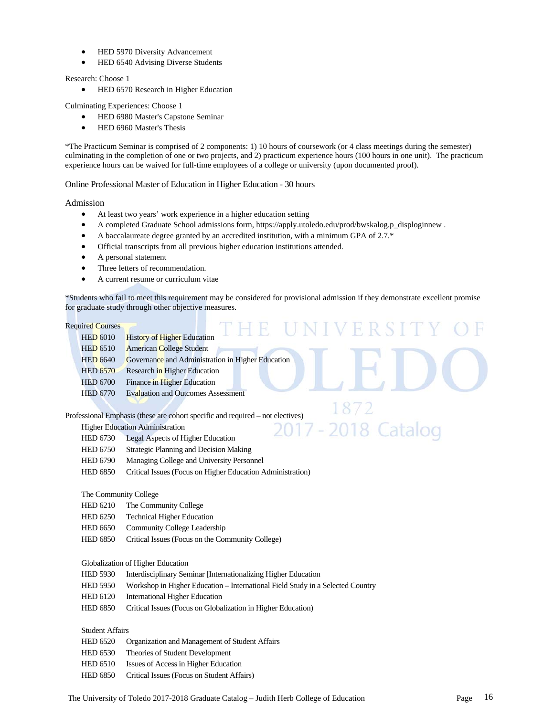- HED 5970 Diversity Advancement
- HED 6540 Advising Diverse Students

Research: Choose 1

**•** HED 6570 Research in Higher Education

Culminating Experiences: Choose 1

- HED 6980 Master's Capstone Seminar
- HED 6960 Master's Thesis

\*The Practicum Seminar is comprised of 2 components: 1) 10 hours of coursework (or 4 class meetings during the semester) culminating in the completion of one or two projects, and 2) practicum experience hours (100 hours in one unit). The practicum experience hours can be waived for full-time employees of a college or university (upon documented proof).

Online Professional Master of Education in Higher Education - 30 hours

Admission

- At least two years' work experience in a higher education setting
- A completed Graduate School admissions form, https://apply.utoledo.edu/prod/bwskalog.p\_disploginnew .
- A baccalaureate degree granted by an accredited institution, with a minimum GPA of 2.7.\*
- Official transcripts from all previous higher education institutions attended.
- A personal statement
- Three letters of recommendation.
- A current resume or curriculum vitae

\*Students who fail to meet this requirement may be considered for provisional admission if they demonstrate excellent promise for graduate study through other objective measures.

2018 Catalog

#### Required Courses

| <b>Required Courses</b> |                                                   |
|-------------------------|---------------------------------------------------|
| <b>HED 6010</b>         | <b>History of Higher Education</b>                |
| <b>HED 6510</b>         | <b>American College Student</b>                   |
| <b>HED 6640</b>         | Governance and Administration in Higher Education |
| <b>HED 6570</b>         | Research in Higher Education                      |
| <b>HED 6700</b>         | Finance in Higher Education                       |
| <b>HED 6770</b>         | <b>Evaluation and Outcomes Assessment</b>         |
|                         |                                                   |

Professional Emphasis (these are cohort specific and required – not electives)

Higher Education Administration

- HED 6730 Legal Aspects of Higher Education
- HED 6750 Strategic Planning and Decision Making
- HED 6790 Managing College and University Personnel
- HED 6850 Critical Issues (Focus on Higher Education Administration)

#### The Community College

- HED 6210 The Community College
- HED 6250 Technical Higher Education
- HED 6650 Community College Leadership
- HED 6850 Critical Issues (Focus on the Community College)

#### Globalization of Higher Education

- HED 5930 Interdisciplinary Seminar [Internationalizing Higher Education
- HED 5950 Workshop in Higher Education International Field Study in a Selected Country
- HED 6120 International Higher Education
- HED 6850 Critical Issues (Focus on Globalization in Higher Education)

## Student Affairs

- HED 6520 Organization and Management of Student Affairs
- HED 6530 Theories of Student Development
- HED 6510 Issues of Access in Higher Education
- HED 6850 Critical Issues (Focus on Student Affairs)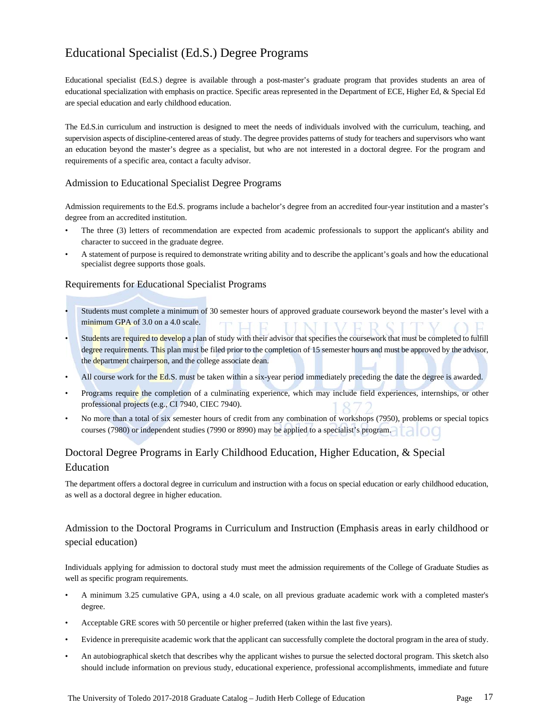## Educational Specialist (Ed.S.) Degree Programs

Educational specialist (Ed.S.) degree is available through a post-master's graduate program that provides students an area of educational specialization with emphasis on practice. Specific areas represented in the Department of ECE, Higher Ed, & Special Ed are special education and early childhood education.

The Ed.S.in curriculum and instruction is designed to meet the needs of individuals involved with the curriculum, teaching, and supervision aspects of discipline-centered areas of study. The degree provides patterns of study for teachers and supervisors who want an education beyond the master's degree as a specialist, but who are not interested in a doctoral degree. For the program and requirements of a specific area, contact a faculty advisor.

## Admission to Educational Specialist Degree Programs

Admission requirements to the Ed.S. programs include a bachelor's degree from an accredited four-year institution and a master's degree from an accredited institution.

- The three (3) letters of recommendation are expected from academic professionals to support the applicant's ability and character to succeed in the graduate degree.
- A statement of purpose is required to demonstrate writing ability and to describe the applicant's goals and how the educational specialist degree supports those goals.

### Requirements for Educational Specialist Programs

- Students must complete a minimum of 30 semester hours of approved graduate coursework beyond the master's level with a minimum GPA of 3.0 on a 4.0 scale.
- Students are required to develop a plan of study with their advisor that specifies the coursework that must be completed to fulfill degree requirements. This plan must be filed prior to the completion of 15 semester hours and must be approved by the advisor, the department chairperson, and the college associate dean.
- All course work for the Ed.S. must be taken within a six-year period immediately preceding the date the degree is awarded.
- Programs require the completion of a culminating experience, which may include field experiences, internships, or other professional projects (e.g., CI 7940, CIEC 7940).
- No more than a total of six semester hours of credit from any combination of workshops (7950), problems or special topics courses (7980) or independent studies (7990 or 8990) may be applied to a specialist's program.

## Doctoral Degree Programs in Early Childhood Education, Higher Education, & Special Education

The department offers a doctoral degree in curriculum and instruction with a focus on special education or early childhood education, as well as a doctoral degree in higher education.

## Admission to the Doctoral Programs in Curriculum and Instruction (Emphasis areas in early childhood or special education)

Individuals applying for admission to doctoral study must meet the admission requirements of the College of Graduate Studies as well as specific program requirements.

- A minimum 3.25 cumulative GPA, using a 4.0 scale, on all previous graduate academic work with a completed master's degree.
- Acceptable GRE scores with 50 percentile or higher preferred (taken within the last five years).
- Evidence in prerequisite academic work that the applicant can successfully complete the doctoral program in the area of study.
- An autobiographical sketch that describes why the applicant wishes to pursue the selected doctoral program. This sketch also should include information on previous study, educational experience, professional accomplishments, immediate and future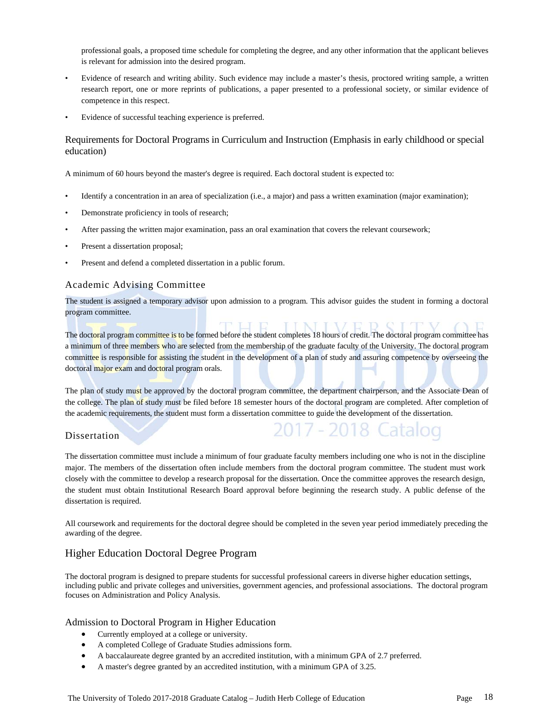professional goals, a proposed time schedule for completing the degree, and any other information that the applicant believes is relevant for admission into the desired program.

- Evidence of research and writing ability. Such evidence may include a master's thesis, proctored writing sample, a written research report, one or more reprints of publications, a paper presented to a professional society, or similar evidence of competence in this respect.
- Evidence of successful teaching experience is preferred.

## Requirements for Doctoral Programs in Curriculum and Instruction (Emphasis in early childhood or special education)

A minimum of 60 hours beyond the master's degree is required. Each doctoral student is expected to:

- Identify a concentration in an area of specialization (i.e., a major) and pass a written examination (major examination);
- Demonstrate proficiency in tools of research;
- After passing the written major examination, pass an oral examination that covers the relevant coursework;
- Present a dissertation proposal;
- Present and defend a completed dissertation in a public forum.

### Academic Advising Committee

The student is assigned a temporary advisor upon admission to a program. This advisor guides the student in forming a doctoral program committee.

The doctoral program committee is to be formed before the student completes 18 hours of credit. The doctoral program committee has a minimum of three members who are selected from the membership of the graduate faculty of the University. The doctoral program committee is responsible for assisting the student in the development of a plan of study and assuring competence by overseeing the doctoral major exam and doctoral program orals.

The plan of study must be approved by the doctoral program committee, the department chairperson, and the Associate Dean of the college. The plan of study must be filed before 18 semester hours of the doctoral program are completed. After completion of the academic requirements, the student must form a dissertation committee to guide the development of the dissertation.

## **Dissertation**

The dissertation committee must include a minimum of four graduate faculty members including one who is not in the discipline major. The members of the dissertation often include members from the doctoral program committee. The student must work closely with the committee to develop a research proposal for the dissertation. Once the committee approves the research design, the student must obtain Institutional Research Board approval before beginning the research study. A public defense of the dissertation is required.

All coursework and requirements for the doctoral degree should be completed in the seven year period immediately preceding the awarding of the degree.

## Higher Education Doctoral Degree Program

The doctoral program is designed to prepare students for successful professional careers in diverse higher education settings, including public and private colleges and universities, government agencies, and professional associations. The doctoral program focuses on Administration and Policy Analysis.

#### Admission to Doctoral Program in Higher Education

- Currently employed at a college or university.
- A completed College of Graduate Studies admissions form.
- A baccalaureate degree granted by an accredited institution, with a minimum GPA of 2.7 preferred.
- A master's degree granted by an accredited institution, with a minimum GPA of 3.25.

atalog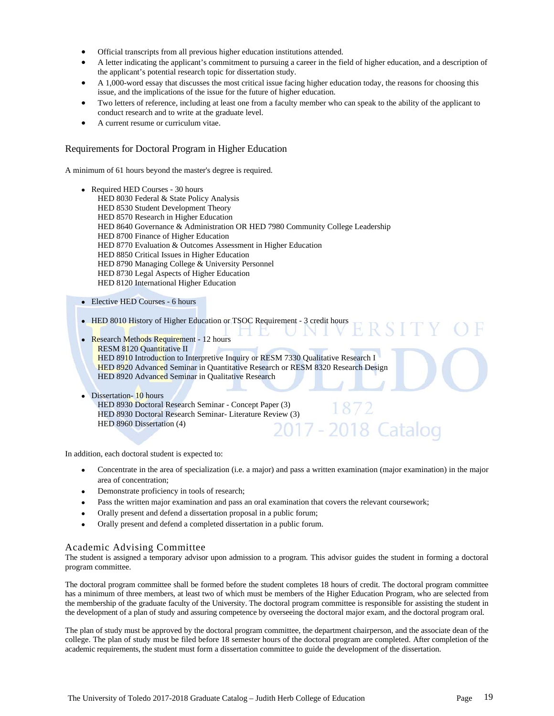- Official transcripts from all previous higher education institutions attended.
- A letter indicating the applicant's commitment to pursuing a career in the field of higher education, and a description of the applicant's potential research topic for dissertation study.
- A 1,000-word essay that discusses the most critical issue facing higher education today, the reasons for choosing this issue, and the implications of the issue for the future of higher education.
- Two letters of reference, including at least one from a faculty member who can speak to the ability of the applicant to conduct research and to write at the graduate level.
- A current resume or curriculum vitae.

### Requirements for Doctoral Program in Higher Education

A minimum of 61 hours beyond the master's degree is required.

- Required HED Courses 30 hours HED 8030 Federal & State Policy Analysis HED 8530 Student Development Theory HED 8570 Research in Higher Education HED 8640 Governance & Administration OR HED 7980 Community College Leadership HED 8700 Finance of Higher Education HED 8770 Evaluation & Outcomes Assessment in Higher Education HED 8850 Critical Issues in Higher Education HED 8790 Managing College & University Personnel HED 8730 Legal Aspects of Higher Education HED 8120 International Higher Education
- Elective HED Courses 6 hours
- HED 8010 History of Higher Education or TSOC Requirement 3 credit hours ERSITY
- Research Methods Requirement 12 hours RESM 8120 Quantitative II HED 8910 Introduction to Interpretive Inquiry or RESM 7330 Qualitative Research I HED 8920 Advanced Seminar in Quantitative Research or RESM 8320 Research Design HED 8920 Advanced Seminar in Qualitative Research
	- Dissertation- 10 hours

HED 8930 Doctoral Research Seminar - Concept Paper (3) HED 8930 Doctoral Research Seminar- Literature Review (3) HED 8960 Dissertation (4) 017 - 2018 Catalog

In addition, each doctoral student is expected to:

- Concentrate in the area of specialization (i.e. a major) and pass a written examination (major examination) in the major area of concentration;
- Demonstrate proficiency in tools of research;
- Pass the written major examination and pass an oral examination that covers the relevant coursework;
- Orally present and defend a dissertation proposal in a public forum;
- Orally present and defend a completed dissertation in a public forum.

#### Academic Advising Committee

The student is assigned a temporary advisor upon admission to a program. This advisor guides the student in forming a doctoral program committee.

The doctoral program committee shall be formed before the student completes 18 hours of credit. The doctoral program committee has a minimum of three members, at least two of which must be members of the Higher Education Program, who are selected from the membership of the graduate faculty of the University. The doctoral program committee is responsible for assisting the student in the development of a plan of study and assuring competence by overseeing the doctoral major exam, and the doctoral program oral.

The plan of study must be approved by the doctoral program committee, the department chairperson, and the associate dean of the college. The plan of study must be filed before 18 semester hours of the doctoral program are completed. After completion of the academic requirements, the student must form a dissertation committee to guide the development of the dissertation.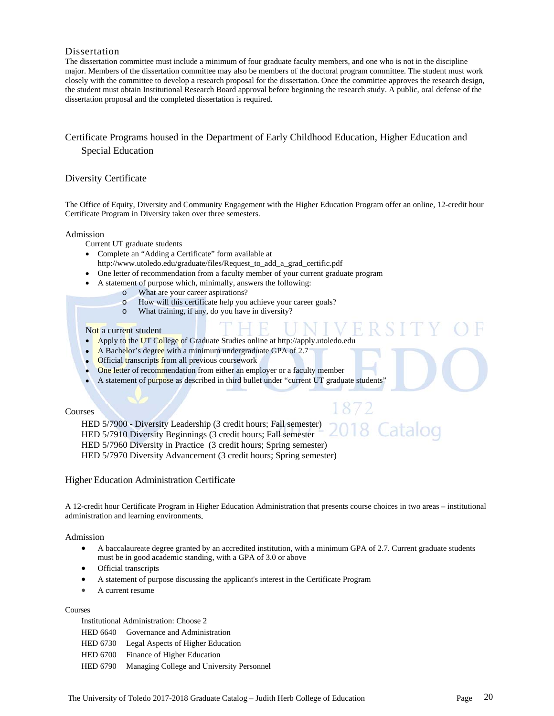## Dissertation

The dissertation committee must include a minimum of four graduate faculty members, and one who is not in the discipline major. Members of the dissertation committee may also be members of the doctoral program committee. The student must work closely with the committee to develop a research proposal for the dissertation. Once the committee approves the research design, the student must obtain Institutional Research Board approval before beginning the research study. A public, oral defense of the dissertation proposal and the completed dissertation is required.

## Certificate Programs housed in the Department of Early Childhood Education, Higher Education and Special Education

### Diversity Certificate

The Office of Equity, Diversity and Community Engagement with the Higher Education Program offer an online, 12-credit hour Certificate Program in Diversity taken over three semesters.

#### Admission

Current UT graduate students

- Complete an "Adding a Certificate" form available at
- http://www.utoledo.edu/graduate/files/Request\_to\_add\_a\_grad\_certific.pdf
- One letter of recommendation from a faculty member of your current graduate program
- A statement of purpose which, minimally, answers the following:
	- o What are your career aspirations?
	- o How will this certificate help you achieve your career goals?
	- o What training, if any, do you have in diversity?

#### Not a current student

- Apply to the UT College of Graduate Studies online at http://apply.utoledo.edu
- A Bachelor's degree with a minimum undergraduate GPA of 2.7
- **Official transcripts from all previous coursework**
- One letter of recommendation from either an employer or a faculty member
- A statement of purpose as described in third bullet under "current UT graduate students'

#### Courses

HED 5/7900 - Diversity Leadership (3 credit hours; Fall semester) HED 5/7910 Diversity Beginnings (3 credit hours; Fall semester HED 5/7960 Diversity in Practice (3 credit hours; Spring semester) HED 5/7970 Diversity Advancement (3 credit hours; Spring semester)

#### Higher Education Administration Certificate

A 12-credit hour Certificate Program in Higher Education Administration that presents course choices in two areas – institutional administration and learning environments.

#### Admission

- A baccalaureate degree granted by an accredited institution, with a minimum GPA of 2.7. Current graduate students must be in good academic standing, with a GPA of 3.0 or above
- Official transcripts
- A statement of purpose discussing the applicant's interest in the Certificate Program
- A current resume

#### Courses

Institutional Administration: Choose 2

- HED 6640 Governance and Administration
- HED 6730 Legal Aspects of Higher Education
- HED 6700 Finance of Higher Education
- HED 6790 Managing College and University Personnel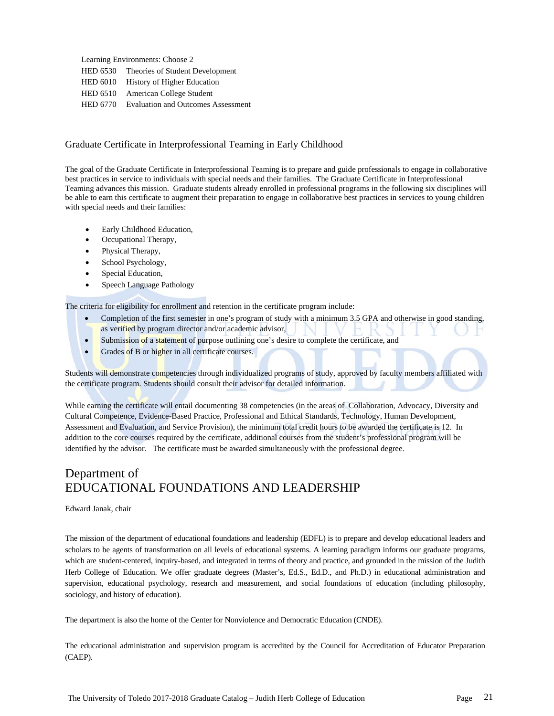Learning Environments: Choose 2 HED 6530 Theories of Student Development HED 6010 History of Higher Education HED 6510 American College Student HED 6770 Evaluation and Outcomes Assessment

## Graduate Certificate in Interprofessional Teaming in Early Childhood

The goal of the Graduate Certificate in Interprofessional Teaming is to prepare and guide professionals to engage in collaborative best practices in service to individuals with special needs and their families. The Graduate Certificate in Interprofessional Teaming advances this mission. Graduate students already enrolled in professional programs in the following six disciplines will be able to earn this certificate to augment their preparation to engage in collaborative best practices in services to young children with special needs and their families:

- Early Childhood Education,
- Occupational Therapy,
- Physical Therapy,
- School Psychology,
- Special Education,
- Speech Language Pathology

The criteria for eligibility for enrollment and retention in the certificate program include:

- Completion of the first semester in one's program of study with a minimum 3.5 GPA and otherwise in good standing, as verified by program director and/or academic advisor,
- Submission of a statement of purpose outlining one's desire to complete the certificate, and
- Grades of B or higher in all certificate courses.

Students will demonstrate competencies through individualized programs of study, approved by faculty members affiliated with the certificate program. Students should consult their advisor for detailed information.

While earning the certificate will entail documenting 38 competencies (in the areas of Collaboration, Advocacy, Diversity and Cultural Competence, Evidence-Based Practice, Professional and Ethical Standards, Technology, Human Development, Assessment and Evaluation, and Service Provision), the minimum total credit hours to be awarded the certificate is 12. In addition to the core courses required by the certificate, additional courses from the student's professional program will be identified by the advisor. The certificate must be awarded simultaneously with the professional degree.

## Department of EDUCATIONAL FOUNDATIONS AND LEADERSHIP

#### Edward Janak, chair

The mission of the department of educational foundations and leadership (EDFL) is to prepare and develop educational leaders and scholars to be agents of transformation on all levels of educational systems. A learning paradigm informs our graduate programs, which are student-centered, inquiry-based, and integrated in terms of theory and practice, and grounded in the mission of the Judith Herb College of Education. We offer graduate degrees (Master's, Ed.S., Ed.D., and Ph.D.) in educational administration and supervision, educational psychology, research and measurement, and social foundations of education (including philosophy, sociology, and history of education).

The department is also the home of the Center for Nonviolence and Democratic Education (CNDE).

The educational administration and supervision program is accredited by the Council for Accreditation of Educator Preparation (CAEP).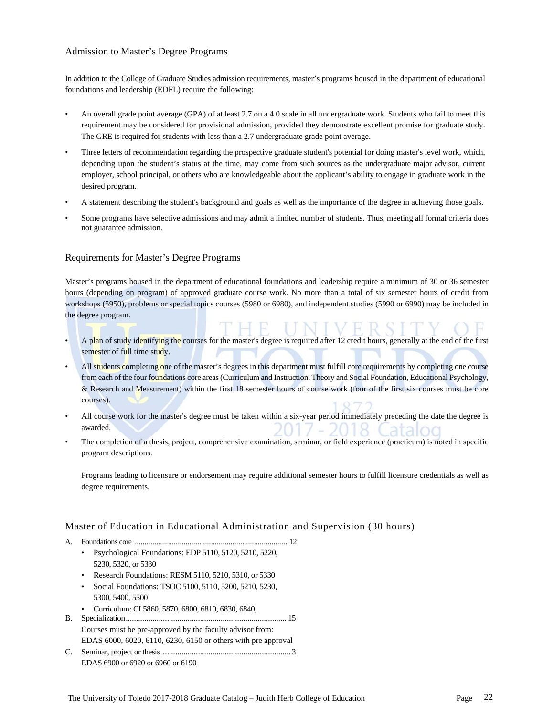## Admission to Master's Degree Programs

In addition to the College of Graduate Studies admission requirements, master's programs housed in the department of educational foundations and leadership (EDFL) require the following:

- An overall grade point average (GPA) of at least 2.7 on a 4.0 scale in all undergraduate work. Students who fail to meet this requirement may be considered for provisional admission, provided they demonstrate excellent promise for graduate study. The GRE is required for students with less than a 2.7 undergraduate grade point average.
- Three letters of recommendation regarding the prospective graduate student's potential for doing master's level work, which, depending upon the student's status at the time, may come from such sources as the undergraduate major advisor, current employer, school principal, or others who are knowledgeable about the applicant's ability to engage in graduate work in the desired program.
- A statement describing the student's background and goals as well as the importance of the degree in achieving those goals.
- Some programs have selective admissions and may admit a limited number of students. Thus, meeting all formal criteria does not guarantee admission.

### Requirements for Master's Degree Programs

Master's programs housed in the department of educational foundations and leadership require a minimum of 30 or 36 semester hours (depending on program) of approved graduate course work. No more than a total of six semester hours of credit from workshops (5950), problems or special topics courses (5980 or 6980), and independent studies (5990 or 6990) may be included in the degree program.

- A plan of study identifying the courses for the master's degree is required after 12 credit hours, generally at the end of the first semester of full time study.
- All students completing one of the master's degrees in this department must fulfill core requirements by completing one course from each of the four foundations core areas (Curriculum and Instruction, Theory and Social Foundation, Educational Psychology, & Research and Measurement) within the first 18 semester hours of course work (four of the first six courses must be core courses).
- All course work for the master's degree must be taken within a six-year period immediately preceding the date the degree is awarded.
- The completion of a thesis, project, comprehensive examination, seminar, or field experience (practicum) is noted in specific program descriptions.

 Programs leading to licensure or endorsement may require additional semester hours to fulfill licensure credentials as well as degree requirements.

#### Master of Education in Educational Administration and Supervision (30 hours)

- A. Foundations core ............................................................................... 12
	- Psychological Foundations: EDP 5110, 5120, 5210, 5220, 5230, 5320, or 5330
	- Research Foundations: RESM 5110, 5210, 5310, or 5330
	- Social Foundations: TSOC 5100, 5110, 5200, 5210, 5230, 5300, 5400, 5500
	- Curriculum: CI 5860, 5870, 6800, 6810, 6830, 6840,
- B. Specialization .............................................................................. 15 Courses must be pre-approved by the faculty advisor from: EDAS 6000, 6020, 6110, 6230, 6150 or others with pre approval
- C. Seminar, project or thesis .............................................................. 3 EDAS 6900 or 6920 or 6960 or 6190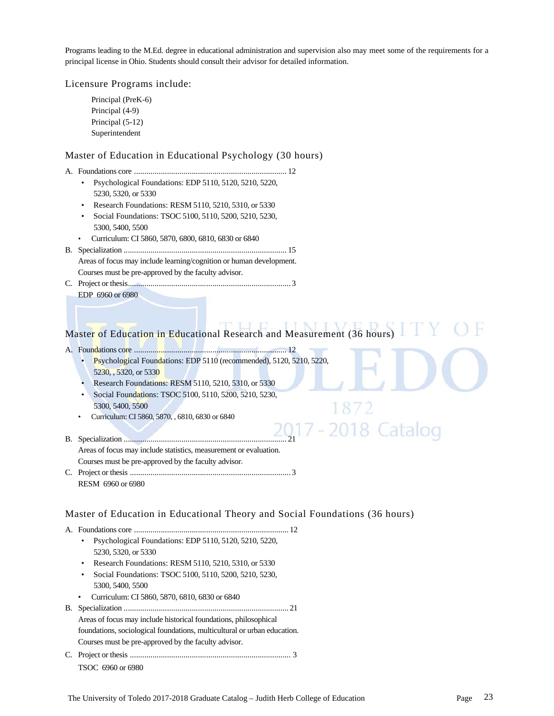Programs leading to the M.Ed. degree in educational administration and supervision also may meet some of the requirements for a principal license in Ohio. Students should consult their advisor for detailed information.

Licensure Programs include:

Principal (PreK-6) Principal (4-9) Principal (5-12) Superintendent

## Master of Education in Educational Psychology (30 hours)

- A. Foundations core .......................................................................... 12
	- Psychological Foundations: EDP 5110, 5120, 5210, 5220, 5230, 5320, or 5330
	- Research Foundations: RESM 5110, 5210, 5310, or 5330
	- Social Foundations: TSOC 5100, 5110, 5200, 5210, 5230, 5300, 5400, 5500
	- Curriculum: CI 5860, 5870, 6800, 6810, 6830 or 6840
- B. Specialization ............................................................................... 15 Areas of focus may include learning/cognition or human development. Courses must be pre-approved by the faculty advisor.
- C. Project or thesis ............................................................................... 3
	- EDP 6960 or 6980

# Master of Education in Educational Research and Measurement (36 hours)

2018 Catalog

- A. Foundations core .......................................................................... 12
	- Psychological Foundations: EDP 5110 (recommended), 5120, 5210, 5220, 5230, , 5320, or 5330
	- Research Foundations: RESM 5110, 5210, 5310, or 5330
	- Social Foundations: TSOC 5100, 5110, 5200, 5210, 5230, 5300, 5400, 5500
	- Curriculum: CI 5860, 5870, , 6810, 6830 or 6840
- B. Specialization ............................................................................... 21 Areas of focus may include statistics, measurement or evaluation. Courses must be pre-approved by the faculty advisor.
- C. Project or thesis .............................................................................. 3 RESM 6960 or 6980

## Master of Education in Educational Theory and Social Foundations (36 hours)

- A. Foundations core ........................................................................... 12
	- Psychological Foundations: EDP 5110, 5120, 5210, 5220, 5230, 5320, or 5330
	- Research Foundations: RESM 5110, 5210, 5310, or 5330
	- Social Foundations: TSOC 5100, 5110, 5200, 5210, 5230, 5300, 5400, 5500
	- Curriculum: CI 5860, 5870, 6810, 6830 or 6840
- B. Specialization ................................................................................ 21 Areas of focus may include historical foundations, philosophical foundations, sociological foundations, multicultural or urban education. Courses must be pre-approved by the faculty advisor.
- C. Project or thesis .............................................................................. 3 TSOC 6960 or 6980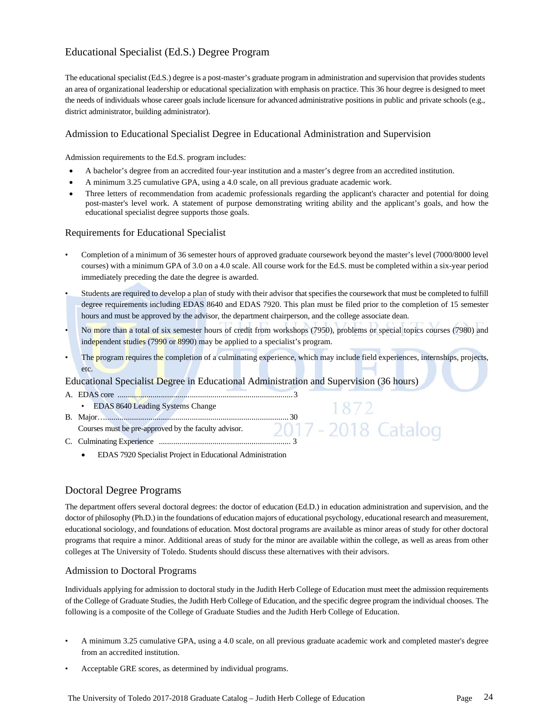## Educational Specialist (Ed.S.) Degree Program

The educational specialist (Ed.S.) degree is a post-master's graduate program in administration and supervision that provides students an area of organizational leadership or educational specialization with emphasis on practice. This 36 hour degree is designed to meet the needs of individuals whose career goals include licensure for advanced administrative positions in public and private schools (e.g., district administrator, building administrator).

## Admission to Educational Specialist Degree in Educational Administration and Supervision

Admission requirements to the Ed.S. program includes:

- A bachelor's degree from an accredited four-year institution and a master's degree from an accredited institution.
- A minimum 3.25 cumulative GPA, using a 4.0 scale, on all previous graduate academic work.
- Three letters of recommendation from academic professionals regarding the applicant's character and potential for doing post-master's level work. A statement of purpose demonstrating writing ability and the applicant's goals, and how the educational specialist degree supports those goals.

## Requirements for Educational Specialist

- Completion of a minimum of 36 semester hours of approved graduate coursework beyond the master's level (7000/8000 level courses) with a minimum GPA of 3.0 on a 4.0 scale. All course work for the Ed.S. must be completed within a six-year period immediately preceding the date the degree is awarded.
- Students are required to develop a plan of study with their advisor that specifies the coursework that must be completed to fulfill degree requirements including EDAS 8640 and EDAS 7920. This plan must be filed prior to the completion of 15 semester hours and must be approved by the advisor, the department chairperson, and the college associate dean.
- No more than a total of six semester hours of credit from workshops (7950), problems or special topics courses (7980) and independent studies (7990 or 8990) may be applied to a specialist's program.
- The program requires the completion of a culminating experience, which may include field experiences, internships, projects, etc.

## Educational Specialist Degree in Educational Administration and Supervision (36 hours)

- A. EDAS core ..................................................................................... 3 • EDAS 8640 Leading Systems Change B. Major… ......................................................................................... 30 Courses must be pre-approved by the faculty advisor. C. Culminating Experience ................................................................ 3
	- EDAS 7920 Specialist Project in Educational Administration

## Doctoral Degree Programs

The department offers several doctoral degrees: the doctor of education (Ed.D.) in education administration and supervision, and the doctor of philosophy (Ph.D.) in the foundations of education majors of educational psychology, educational research and measurement, educational sociology, and foundations of education. Most doctoral programs are available as minor areas of study for other doctoral programs that require a minor. Additional areas of study for the minor are available within the college, as well as areas from other colleges at The University of Toledo. Students should discuss these alternatives with their advisors.

## Admission to Doctoral Programs

Individuals applying for admission to doctoral study in the Judith Herb College of Education must meet the admission requirements of the College of Graduate Studies, the Judith Herb College of Education, and the specific degree program the individual chooses. The following is a composite of the College of Graduate Studies and the Judith Herb College of Education.

- A minimum 3.25 cumulative GPA, using a 4.0 scale, on all previous graduate academic work and completed master's degree from an accredited institution.
- Acceptable GRE scores, as determined by individual programs.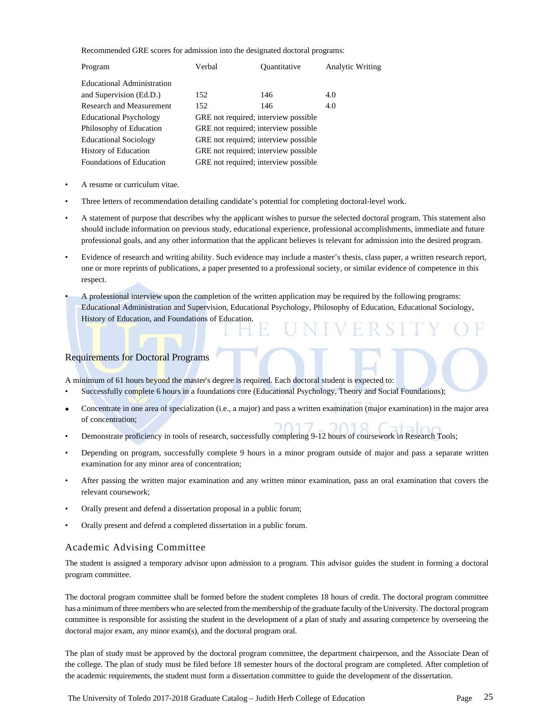Recommended GRE scores for admission into the designated doctoral programs:

| Program                         | Verbal | <i><b>Ouantitative</b></i>           | <b>Analytic Writing</b> |
|---------------------------------|--------|--------------------------------------|-------------------------|
| Educational Administration      |        |                                      |                         |
| and Supervision (Ed.D.)         | 152    | 146                                  | 4.0                     |
| Research and Measurement        | 152    | 146                                  | 4.0                     |
| <b>Educational Psychology</b>   |        | GRE not required; interview possible |                         |
| Philosophy of Education         |        | GRE not required; interview possible |                         |
| <b>Educational Sociology</b>    |        | GRE not required; interview possible |                         |
| <b>History of Education</b>     |        | GRE not required; interview possible |                         |
| <b>Foundations of Education</b> |        | GRE not required; interview possible |                         |

- A resume or curriculum vitae.
- Three letters of recommendation detailing candidate's potential for completing doctoral-level work.
- A statement of purpose that describes why the applicant wishes to pursue the selected doctoral program. This statement also should include information on previous study, educational experience, professional accomplishments, immediate and future professional goals, and any other information that the applicant believes is relevant for admission into the desired program.
- Evidence of research and writing ability. Such evidence may include a master's thesis, class paper, a written research report, one or more reprints of publications, a paper presented to a professional society, or similar evidence of competence in this respect.
- A professional interview upon the completion of the written application may be required by the following programs: Educational Administration and Supervision, Educational Psychology, Philosophy of Education, Educational Sociology, History of Education, and Foundations of Education.

## Requirements for Doctoral Programs

A minimum of 61 hours beyond the master's degree is required. Each doctoral student is expected to:

- Successfully complete 6 hours in a foundations core (Educational Psychology, Theory and Social Foundations);
- Concentrate in one area of specialization (i.e., a major) and pass a written examination (major examination) in the major area of concentration;
- Demonstrate proficiency in tools of research, successfully completing 9-12 hours of coursework in Research Tools;
- Depending on program, successfully complete 9 hours in a minor program outside of major and pass a separate written examination for any minor area of concentration;
- After passing the written major examination and any written minor examination, pass an oral examination that covers the relevant coursework;
- Orally present and defend a dissertation proposal in a public forum;
- Orally present and defend a completed dissertation in a public forum.

## Academic Advising Committee

The student is assigned a temporary advisor upon admission to a program. This advisor guides the student in forming a doctoral program committee.

The doctoral program committee shall be formed before the student completes 18 hours of credit. The doctoral program committee has a minimum of three members who are selected from the membership of the graduate faculty of the University. The doctoral program committee is responsible for assisting the student in the development of a plan of study and assuring competence by overseeing the doctoral major exam, any minor exam(s), and the doctoral program oral.

The plan of study must be approved by the doctoral program committee, the department chairperson, and the Associate Dean of the college. The plan of study must be filed before 18 semester hours of the doctoral program are completed. After completion of the academic requirements, the student must form a dissertation committee to guide the development of the dissertation.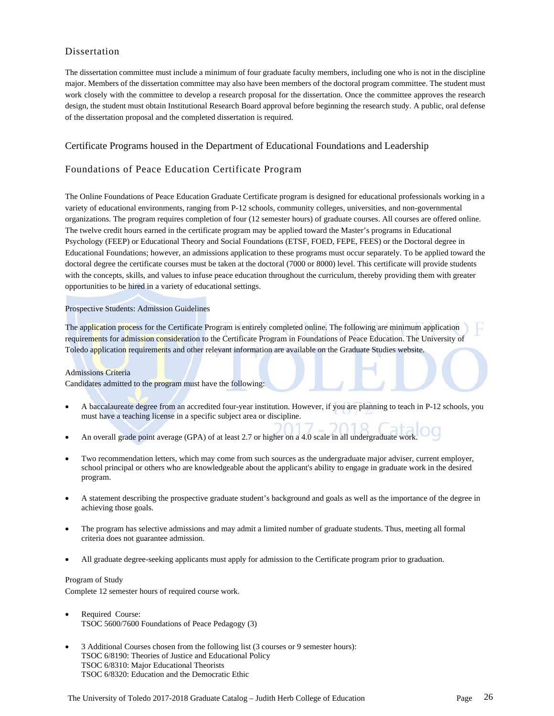## Dissertation

The dissertation committee must include a minimum of four graduate faculty members, including one who is not in the discipline major. Members of the dissertation committee may also have been members of the doctoral program committee. The student must work closely with the committee to develop a research proposal for the dissertation. Once the committee approves the research design, the student must obtain Institutional Research Board approval before beginning the research study. A public, oral defense of the dissertation proposal and the completed dissertation is required.

### Certificate Programs housed in the Department of Educational Foundations and Leadership

## Foundations of Peace Education Certificate Program

The Online Foundations of Peace Education Graduate Certificate program is designed for educational professionals working in a variety of educational environments, ranging from P-12 schools, community colleges, universities, and non-governmental organizations. The program requires completion of four (12 semester hours) of graduate courses. All courses are offered online. The twelve credit hours earned in the certificate program may be applied toward the Master's programs in Educational Psychology (FEEP) or Educational Theory and Social Foundations (ETSF, FOED, FEPE, FEES) or the Doctoral degree in Educational Foundations; however, an admissions application to these programs must occur separately. To be applied toward the doctoral degree the certificate courses must be taken at the doctoral (7000 or 8000) level. This certificate will provide students with the concepts, skills, and values to infuse peace education throughout the curriculum, thereby providing them with greater opportunities to be hired in a variety of educational settings.

#### Prospective Students: Admission Guidelines

The application process for the Certificate Program is entirely completed online. The following are minimum application requirements for admission consideration to the Certificate Program in Foundations of Peace Education. The University of Toledo application requirements and other relevant information are available on the Graduate Studies website.

#### Admissions Criteria

Candidates admitted to the program must have the following:

- A baccalaureate degree from an accredited four-year institution. However, if you are planning to teach in P-12 schools, you must have a teaching license in a specific subject area or discipline.
- An overall grade point average (GPA) of at least 2.7 or higher on a 4.0 scale in all undergraduate work.
- Two recommendation letters, which may come from such sources as the undergraduate major adviser, current employer, school principal or others who are knowledgeable about the applicant's ability to engage in graduate work in the desired program.
- A statement describing the prospective graduate student's background and goals as well as the importance of the degree in achieving those goals.
- The program has selective admissions and may admit a limited number of graduate students. Thus, meeting all formal criteria does not guarantee admission.
- All graduate degree-seeking applicants must apply for admission to the Certificate program prior to graduation.

#### Program of Study

Complete 12 semester hours of required course work.

- Required Course: TSOC 5600/7600 Foundations of Peace Pedagogy (3)
- 3 Additional Courses chosen from the following list (3 courses or 9 semester hours): TSOC 6/8190: Theories of Justice and Educational Policy TSOC 6/8310: Major Educational Theorists TSOC 6/8320: Education and the Democratic Ethic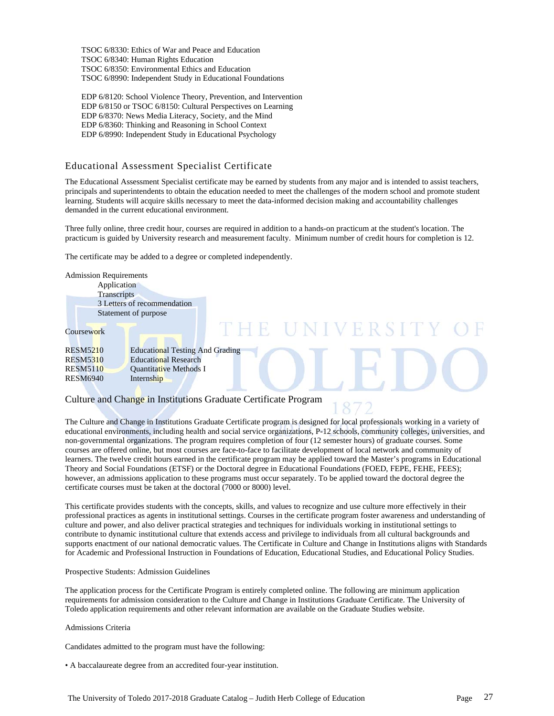TSOC 6/8330: Ethics of War and Peace and Education TSOC 6/8340: Human Rights Education TSOC 6/8350: Environmental Ethics and Education TSOC 6/8990: Independent Study in Educational Foundations

EDP 6/8120: School Violence Theory, Prevention, and Intervention EDP 6/8150 or TSOC 6/8150: Cultural Perspectives on Learning EDP 6/8370: News Media Literacy, Society, and the Mind EDP 6/8360: Thinking and Reasoning in School Context EDP 6/8990: Independent Study in Educational Psychology

## Educational Assessment Specialist Certificate

The Educational Assessment Specialist certificate may be earned by students from any major and is intended to assist teachers, principals and superintendents to obtain the education needed to meet the challenges of the modern school and promote student learning. Students will acquire skills necessary to meet the data-informed decision making and accountability challenges demanded in the current educational environment.

Three fully online, three credit hour, courses are required in addition to a hands-on practicum at the student's location. The practicum is guided by University research and measurement faculty. Minimum number of credit hours for completion is 12.

The certificate may be added to a degree or completed independently.

| <b>Admission Requirements</b><br>Application<br>Transcripts | 3 Letters of recommendation<br>Statement of purpose |
|-------------------------------------------------------------|-----------------------------------------------------|
| <b>Coursework</b>                                           | UNIVERSITY                                          |
| <b>RESM5210</b>                                             | <b>Educational Testing And Grading</b>              |
| <b>RESM5310</b>                                             | <b>Educational Research</b>                         |
| <b>RESM5110</b>                                             | Quantitative Methods I                              |
| <b>RESM6940</b>                                             | Internship                                          |
|                                                             |                                                     |

### Culture and Change in Institutions Graduate Certificate Program

The Culture and Change in Institutions Graduate Certificate program is designed for local professionals working in a variety of educational environments, including health and social service organizations, P-12 schools, community colleges, universities, and non-governmental organizations. The program requires completion of four (12 semester hours) of graduate courses. Some courses are offered online, but most courses are face-to-face to facilitate development of local network and community of learners. The twelve credit hours earned in the certificate program may be applied toward the Master's programs in Educational Theory and Social Foundations (ETSF) or the Doctoral degree in Educational Foundations (FOED, FEPE, FEHE, FEES); however, an admissions application to these programs must occur separately. To be applied toward the doctoral degree the certificate courses must be taken at the doctoral (7000 or 8000) level.

This certificate provides students with the concepts, skills, and values to recognize and use culture more effectively in their professional practices as agents in institutional settings. Courses in the certificate program foster awareness and understanding of culture and power, and also deliver practical strategies and techniques for individuals working in institutional settings to contribute to dynamic institutional culture that extends access and privilege to individuals from all cultural backgrounds and supports enactment of our national democratic values. The Certificate in Culture and Change in Institutions aligns with Standards for Academic and Professional Instruction in Foundations of Education, Educational Studies, and Educational Policy Studies.

#### Prospective Students: Admission Guidelines

The application process for the Certificate Program is entirely completed online. The following are minimum application requirements for admission consideration to the Culture and Change in Institutions Graduate Certificate. The University of Toledo application requirements and other relevant information are available on the Graduate Studies website.

Admissions Criteria

Candidates admitted to the program must have the following:

• A baccalaureate degree from an accredited four-year institution.